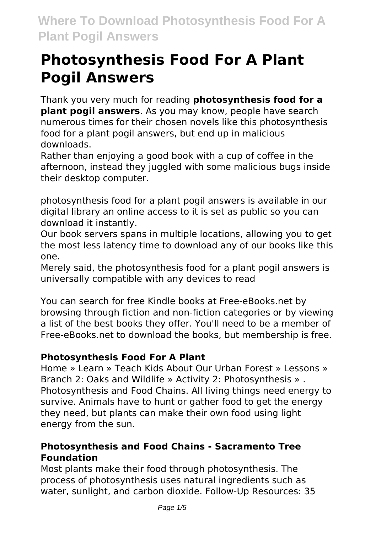# **Photosynthesis Food For A Plant Pogil Answers**

Thank you very much for reading **photosynthesis food for a plant pogil answers**. As you may know, people have search numerous times for their chosen novels like this photosynthesis food for a plant pogil answers, but end up in malicious downloads.

Rather than enjoying a good book with a cup of coffee in the afternoon, instead they juggled with some malicious bugs inside their desktop computer.

photosynthesis food for a plant pogil answers is available in our digital library an online access to it is set as public so you can download it instantly.

Our book servers spans in multiple locations, allowing you to get the most less latency time to download any of our books like this one.

Merely said, the photosynthesis food for a plant pogil answers is universally compatible with any devices to read

You can search for free Kindle books at Free-eBooks.net by browsing through fiction and non-fiction categories or by viewing a list of the best books they offer. You'll need to be a member of Free-eBooks.net to download the books, but membership is free.

# **Photosynthesis Food For A Plant**

Home » Learn » Teach Kids About Our Urban Forest » Lessons » Branch 2: Oaks and Wildlife » Activity 2: Photosynthesis » . Photosynthesis and Food Chains. All living things need energy to survive. Animals have to hunt or gather food to get the energy they need, but plants can make their own food using light energy from the sun.

# **Photosynthesis and Food Chains - Sacramento Tree Foundation**

Most plants make their food through photosynthesis. The process of photosynthesis uses natural ingredients such as water, sunlight, and carbon dioxide. Follow-Up Resources: 35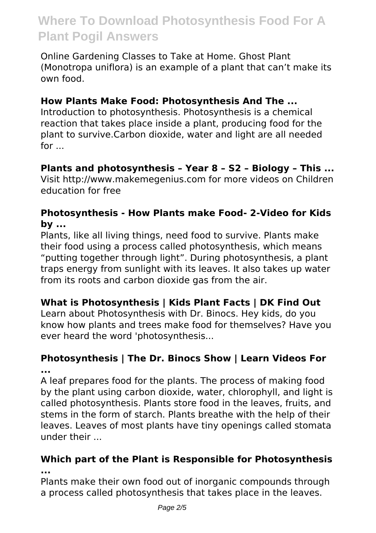Online Gardening Classes to Take at Home. Ghost Plant (Monotropa uniflora) is an example of a plant that can't make its own food.

### **How Plants Make Food: Photosynthesis And The ...**

Introduction to photosynthesis. Photosynthesis is a chemical reaction that takes place inside a plant, producing food for the plant to survive.Carbon dioxide, water and light are all needed for ...

### **Plants and photosynthesis – Year 8 – S2 – Biology – This ...**

Visit http://www.makemegenius.com for more videos on Children education for free

#### **Photosynthesis - How Plants make Food- 2-Video for Kids by ...**

Plants, like all living things, need food to survive. Plants make their food using a process called photosynthesis, which means "putting together through light". During photosynthesis, a plant traps energy from sunlight with its leaves. It also takes up water from its roots and carbon dioxide gas from the air.

# **What is Photosynthesis | Kids Plant Facts | DK Find Out**

Learn about Photosynthesis with Dr. Binocs. Hey kids, do you know how plants and trees make food for themselves? Have you ever heard the word 'photosynthesis...

### **Photosynthesis | The Dr. Binocs Show | Learn Videos For ...**

A leaf prepares food for the plants. The process of making food by the plant using carbon dioxide, water, chlorophyll, and light is called photosynthesis. Plants store food in the leaves, fruits, and stems in the form of starch. Plants breathe with the help of their leaves. Leaves of most plants have tiny openings called stomata under their ...

#### **Which part of the Plant is Responsible for Photosynthesis ...**

Plants make their own food out of inorganic compounds through a process called photosynthesis that takes place in the leaves.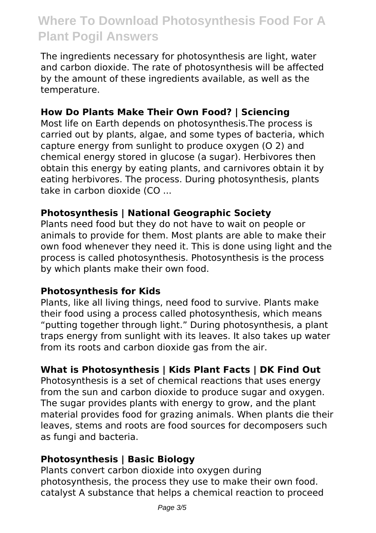The ingredients necessary for photosynthesis are light, water and carbon dioxide. The rate of photosynthesis will be affected by the amount of these ingredients available, as well as the temperature.

### **How Do Plants Make Their Own Food? | Sciencing**

Most life on Earth depends on photosynthesis.The process is carried out by plants, algae, and some types of bacteria, which capture energy from sunlight to produce oxygen (O 2) and chemical energy stored in glucose (a sugar). Herbivores then obtain this energy by eating plants, and carnivores obtain it by eating herbivores. The process. During photosynthesis, plants take in carbon dioxide (CO ...

#### **Photosynthesis | National Geographic Society**

Plants need food but they do not have to wait on people or animals to provide for them. Most plants are able to make their own food whenever they need it. This is done using light and the process is called photosynthesis. Photosynthesis is the process by which plants make their own food.

#### **Photosynthesis for Kids**

Plants, like all living things, need food to survive. Plants make their food using a process called photosynthesis, which means "putting together through light." During photosynthesis, a plant traps energy from sunlight with its leaves. It also takes up water from its roots and carbon dioxide gas from the air.

# **What is Photosynthesis | Kids Plant Facts | DK Find Out**

Photosynthesis is a set of chemical reactions that uses energy from the sun and carbon dioxide to produce sugar and oxygen. The sugar provides plants with energy to grow, and the plant material provides food for grazing animals. When plants die their leaves, stems and roots are food sources for decomposers such as fungi and bacteria.

#### **Photosynthesis | Basic Biology**

Plants convert carbon dioxide into oxygen during photosynthesis, the process they use to make their own food. catalyst A substance that helps a chemical reaction to proceed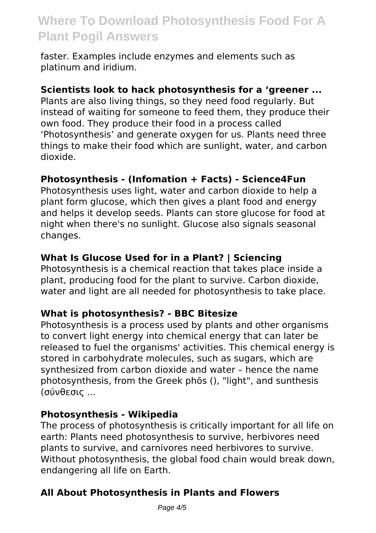faster. Examples include enzymes and elements such as platinum and iridium.

#### **Scientists look to hack photosynthesis for a 'greener ...**

Plants are also living things, so they need food regularly. But instead of waiting for someone to feed them, they produce their own food. They produce their food in a process called 'Photosynthesis' and generate oxygen for us. Plants need three things to make their food which are sunlight, water, and carbon dioxide.

#### **Photosynthesis - (Infomation + Facts) - Science4Fun**

Photosynthesis uses light, water and carbon dioxide to help a plant form glucose, which then gives a plant food and energy and helps it develop seeds. Plants can store glucose for food at night when there's no sunlight. Glucose also signals seasonal changes.

#### **What Is Glucose Used for in a Plant? | Sciencing**

Photosynthesis is a chemical reaction that takes place inside a plant, producing food for the plant to survive. Carbon dioxide, water and light are all needed for photosynthesis to take place.

#### **What is photosynthesis? - BBC Bitesize**

Photosynthesis is a process used by plants and other organisms to convert light energy into chemical energy that can later be released to fuel the organisms' activities. This chemical energy is stored in carbohydrate molecules, such as sugars, which are synthesized from carbon dioxide and water – hence the name photosynthesis, from the Greek phōs (), "light", and sunthesis (σύνθεσις ...

#### **Photosynthesis - Wikipedia**

The process of photosynthesis is critically important for all life on earth: Plants need photosynthesis to survive, herbivores need plants to survive, and carnivores need herbivores to survive. Without photosynthesis, the global food chain would break down, endangering all life on Earth.

#### **All About Photosynthesis in Plants and Flowers**